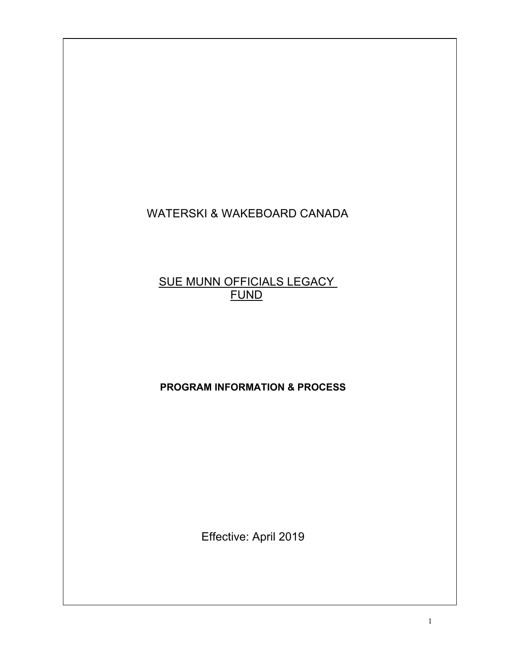# WATERSKI & WAKEBOARD CANADA

# SUE MUNN OFFICIALS LEGACY FUND

## **PROGRAM INFORMATION & PROCESS**

Effective: April 2019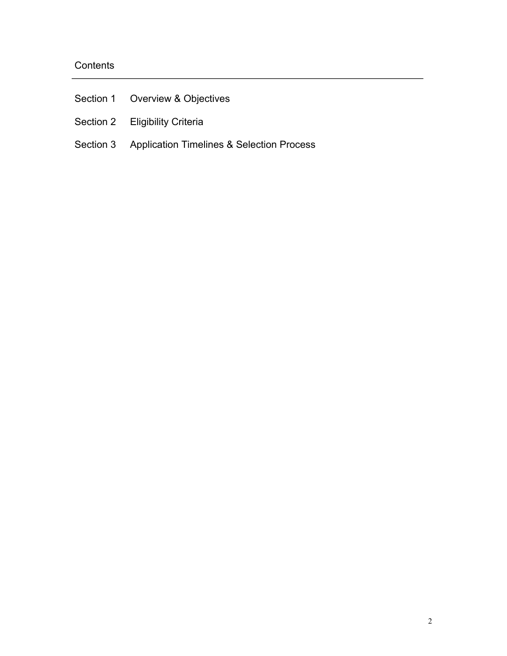## **Contents**

| Section 1 Overview & Objectives                     |
|-----------------------------------------------------|
| Section 2 Eligibility Criteria                      |
| Section 3 Application Timelines & Selection Process |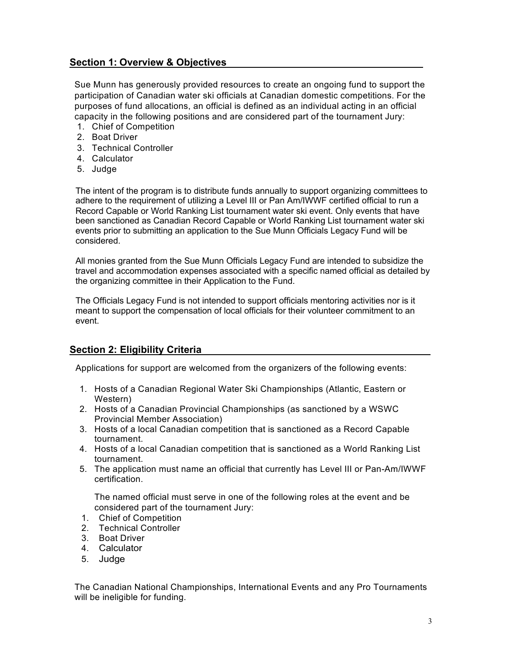### **Section 1: Overview & Objectives**

Sue Munn has generously provided resources to create an ongoing fund to support the participation of Canadian water ski officials at Canadian domestic competitions. For the purposes of fund allocations, an official is defined as an individual acting in an official capacity in the following positions and are considered part of the tournament Jury:

- 1. Chief of Competition
- 2. Boat Driver
- 3. Technical Controller
- 4. Calculator
- 5. Judge

The intent of the program is to distribute funds annually to support organizing committees to adhere to the requirement of utilizing a Level III or Pan Am/IWWF certified official to run a Record Capable or World Ranking List tournament water ski event. Only events that have been sanctioned as Canadian Record Capable or World Ranking List tournament water ski events prior to submitting an application to the Sue Munn Officials Legacy Fund will be considered.

All monies granted from the Sue Munn Officials Legacy Fund are intended to subsidize the travel and accommodation expenses associated with a specific named official as detailed by the organizing committee in their Application to the Fund.

The Officials Legacy Fund is not intended to support officials mentoring activities nor is it meant to support the compensation of local officials for their volunteer commitment to an event.

#### **Section 2: Eligibility Criteria**

Applications for support are welcomed from the organizers of the following events:

- 1. Hosts of a Canadian Regional Water Ski Championships (Atlantic, Eastern or Western)
- 2. Hosts of a Canadian Provincial Championships (as sanctioned by a WSWC Provincial Member Association)
- 3. Hosts of a local Canadian competition that is sanctioned as a Record Capable tournament.
- 4. Hosts of a local Canadian competition that is sanctioned as a World Ranking List tournament.
- 5. The application must name an official that currently has Level III or Pan-Am/IWWF certification.

The named official must serve in one of the following roles at the event and be considered part of the tournament Jury:

- 1. Chief of Competition
- 2. Technical Controller
- 3. Boat Driver
- 4. Calculator
- 5. Judge

The Canadian National Championships, International Events and any Pro Tournaments will be ineligible for funding.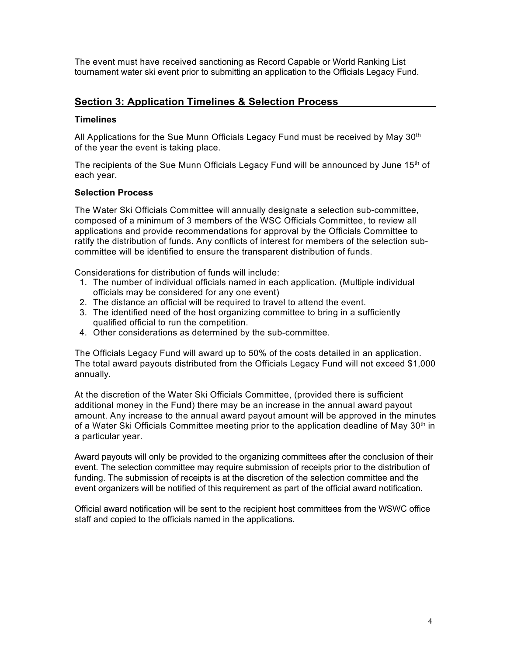The event must have received sanctioning as Record Capable or World Ranking List tournament water ski event prior to submitting an application to the Officials Legacy Fund.

### **Section 3: Application Timelines & Selection Process**

#### **Timelines**

All Applications for the Sue Munn Officials Legacy Fund must be received by May  $30<sup>th</sup>$ of the year the event is taking place.

The recipients of the Sue Munn Officials Legacy Fund will be announced by June 15<sup>th</sup> of each year.

#### **Selection Process**

The Water Ski Officials Committee will annually designate a selection sub-committee, composed of a minimum of 3 members of the WSC Officials Committee, to review all applications and provide recommendations for approval by the Officials Committee to ratify the distribution of funds. Any conflicts of interest for members of the selection subcommittee will be identified to ensure the transparent distribution of funds.

Considerations for distribution of funds will include:

- 1. The number of individual officials named in each application. (Multiple individual officials may be considered for any one event)
- 2. The distance an official will be required to travel to attend the event.
- 3. The identified need of the host organizing committee to bring in a sufficiently qualified official to run the competition.
- 4. Other considerations as determined by the sub-committee.

The Officials Legacy Fund will award up to 50% of the costs detailed in an application. The total award payouts distributed from the Officials Legacy Fund will not exceed \$1,000 annually.

At the discretion of the Water Ski Officials Committee, (provided there is sufficient additional money in the Fund) there may be an increase in the annual award payout amount. Any increase to the annual award payout amount will be approved in the minutes of a Water Ski Officials Committee meeting prior to the application deadline of May 30<sup>th</sup> in a particular year.

Award payouts will only be provided to the organizing committees after the conclusion of their event. The selection committee may require submission of receipts prior to the distribution of funding. The submission of receipts is at the discretion of the selection committee and the event organizers will be notified of this requirement as part of the official award notification.

Official award notification will be sent to the recipient host committees from the WSWC office staff and copied to the officials named in the applications.